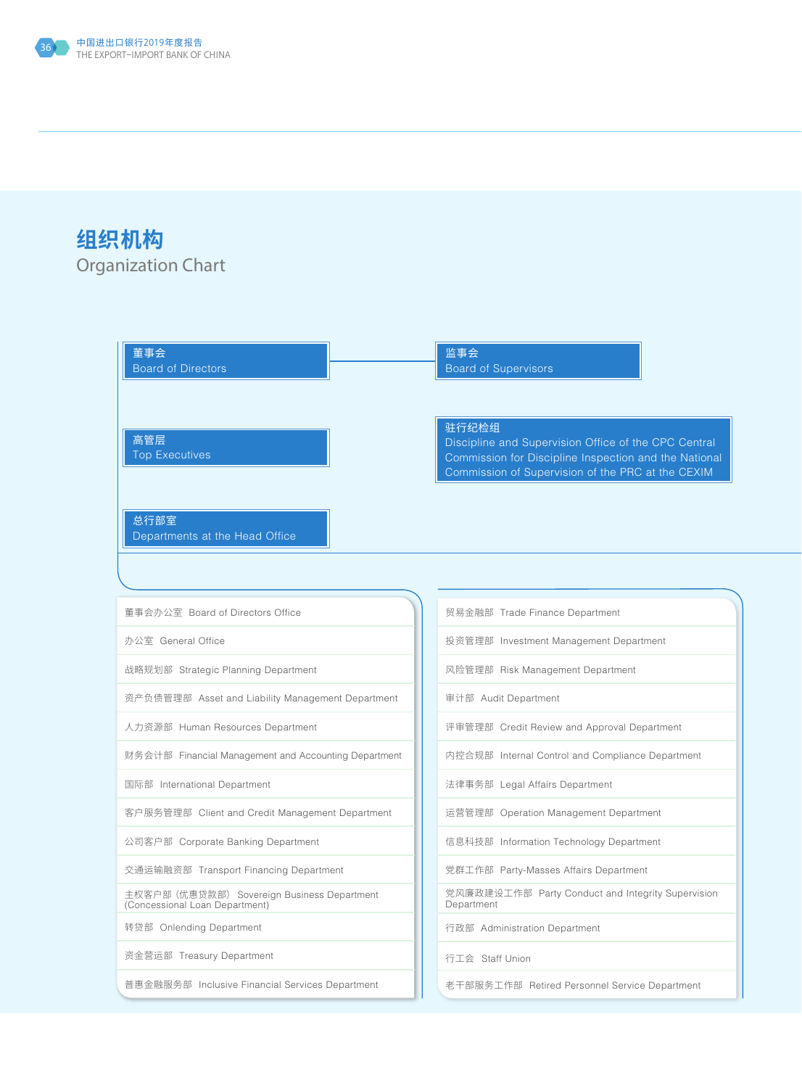## **组织机构** Organization Chart

| 董事会<br><b>Board of Directors</b>                                              | 监事会<br><b>Board of Supervisors</b>                                                                            |
|-------------------------------------------------------------------------------|---------------------------------------------------------------------------------------------------------------|
|                                                                               |                                                                                                               |
|                                                                               | 驻行纪检组                                                                                                         |
| 高管层<br><b>Top Executives</b>                                                  | Discipline and Supervision Office of the CPC Central<br>Commission for Discipline Inspection and the National |
|                                                                               | Commission of Supervision of the PRC at the CEXIM                                                             |
|                                                                               |                                                                                                               |
| 总行部室<br>Departments at the Head Office                                        |                                                                                                               |
|                                                                               |                                                                                                               |
|                                                                               |                                                                                                               |
| 董事会办公室 Board of Directors Office                                              | 贸易金融部 Trade Finance Department                                                                                |
| 办公室 General Office                                                            | 投资管理部 Investment Management Department                                                                        |
| 战略规划部 Strategic Planning Department                                           | 风险管理部 Risk Management Department                                                                              |
| 资产负债管理部 Asset and Liability Management Department                             | 审计部 Audit Department                                                                                          |
| 人力资源部 Human Resources Department                                              | 评审管理部 Credit Review and Approval Department                                                                   |
| 财务会计部 Financial Management and Accounting Department                          | 内控合规部 Internal Control and Compliance Department                                                              |
| 国际部 International Department                                                  | 法律事务部 Legal Affairs Department                                                                                |
| 客户服务管理部 Client and Credit Management Department                               | 运营管理部 Operation Management Department                                                                         |
| 公司客户部 Corporate Banking Department                                            | 信息科技部 Information Technology Department                                                                       |
| 交通运输融资部 Transport Financing Department                                        | 党群工作部 Party-Masses Affairs Department                                                                         |
| 主权客户部 (优惠贷款部) Sovereign Business Department<br>(Concessional Loan Department) | 党风廉政建设工作部 Party Conduct and Integrity Supervision<br>Department                                               |
| 转贷部 Onlending Department                                                      | 行政部 Administration Department                                                                                 |
| 资金营运部 Treasury Department                                                     | 行工会 Staff Union                                                                                               |
| 普惠金融服务部 Inclusive Financial Services Department                               | 老干部服务工作部 Retired Personnel Service Department                                                                 |